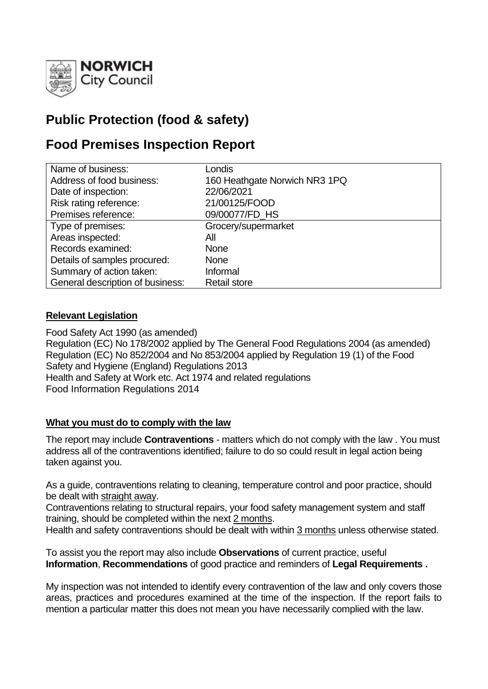

# **Public Protection (food & safety)**

# **Food Premises Inspection Report**

| Name of business:                | Londis                        |
|----------------------------------|-------------------------------|
| Address of food business:        | 160 Heathgate Norwich NR3 1PQ |
| Date of inspection:              | 22/06/2021                    |
| Risk rating reference:           | 21/00125/FOOD                 |
| Premises reference:              | 09/00077/FD_HS                |
| Type of premises:                | Grocery/supermarket           |
| Areas inspected:                 | All                           |
| Records examined:                | <b>None</b>                   |
| Details of samples procured:     | <b>None</b>                   |
| Summary of action taken:         | Informal                      |
| General description of business: | <b>Retail store</b>           |

### **Relevant Legislation**

Food Safety Act 1990 (as amended) Regulation (EC) No 178/2002 applied by The General Food Regulations 2004 (as amended) Regulation (EC) No 852/2004 and No 853/2004 applied by Regulation 19 (1) of the Food Safety and Hygiene (England) Regulations 2013 Health and Safety at Work etc. Act 1974 and related regulations Food Information Regulations 2014

#### **What you must do to comply with the law**

The report may include **Contraventions** - matters which do not comply with the law . You must address all of the contraventions identified; failure to do so could result in legal action being taken against you.

As a guide, contraventions relating to cleaning, temperature control and poor practice, should be dealt with straight away.

Contraventions relating to structural repairs, your food safety management system and staff training, should be completed within the next 2 months.

Health and safety contraventions should be dealt with within 3 months unless otherwise stated.

To assist you the report may also include **Observations** of current practice, useful **Information**, **Recommendations** of good practice and reminders of **Legal Requirements .**

My inspection was not intended to identify every contravention of the law and only covers those areas, practices and procedures examined at the time of the inspection. If the report fails to mention a particular matter this does not mean you have necessarily complied with the law.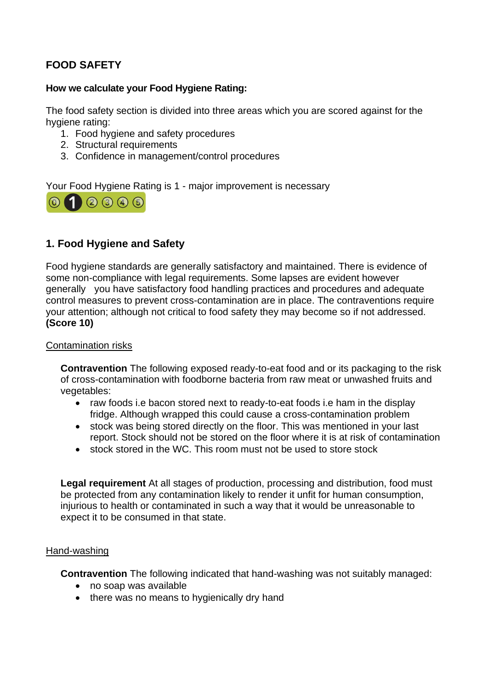## **FOOD SAFETY**

#### **How we calculate your Food Hygiene Rating:**

The food safety section is divided into three areas which you are scored against for the hygiene rating:

- 1. Food hygiene and safety procedures
- 2. Structural requirements
- 3. Confidence in management/control procedures

Your Food Hygiene Rating is 1 - major improvement is necessary



## **1. Food Hygiene and Safety**

Food hygiene standards are generally satisfactory and maintained. There is evidence of some non-compliance with legal requirements. Some lapses are evident however generally you have satisfactory food handling practices and procedures and adequate control measures to prevent cross-contamination are in place. The contraventions require your attention; although not critical to food safety they may become so if not addressed. **(Score 10)**

#### Contamination risks

**Contravention** The following exposed ready-to-eat food and or its packaging to the risk of cross-contamination with foodborne bacteria from raw meat or unwashed fruits and vegetables:

- raw foods i.e bacon stored next to ready-to-eat foods i.e ham in the display fridge. Although wrapped this could cause a cross-contamination problem
- stock was being stored directly on the floor. This was mentioned in your last report. Stock should not be stored on the floor where it is at risk of contamination
- stock stored in the WC. This room must not be used to store stock

**Legal requirement** At all stages of production, processing and distribution, food must be protected from any contamination likely to render it unfit for human consumption, injurious to health or contaminated in such a way that it would be unreasonable to expect it to be consumed in that state.

#### Hand-washing

**Contravention** The following indicated that hand-washing was not suitably managed:

- no soap was available
- there was no means to hygienically dry hand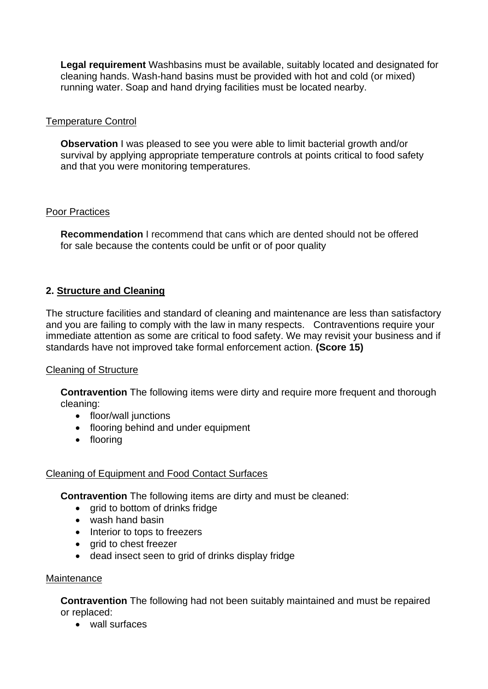**Legal requirement** Washbasins must be available, suitably located and designated for cleaning hands. Wash-hand basins must be provided with hot and cold (or mixed) running water. Soap and hand drying facilities must be located nearby.

#### Temperature Control

**Observation** I was pleased to see you were able to limit bacterial growth and/or survival by applying appropriate temperature controls at points critical to food safety and that you were monitoring temperatures.

#### Poor Practices

**Recommendation** I recommend that cans which are dented should not be offered for sale because the contents could be unfit or of poor quality

## **2. Structure and Cleaning**

The structure facilities and standard of cleaning and maintenance are less than satisfactory and you are failing to comply with the law in many respects. Contraventions require your immediate attention as some are critical to food safety. We may revisit your business and if standards have not improved take formal enforcement action. **(Score 15)**

### Cleaning of Structure

**Contravention** The following items were dirty and require more frequent and thorough cleaning:

- floor/wall junctions
- flooring behind and under equipment
- flooring

### Cleaning of Equipment and Food Contact Surfaces

**Contravention** The following items are dirty and must be cleaned:

- grid to bottom of drinks fridge
- wash hand basin
- Interior to tops to freezers
- arid to chest freezer
- dead insect seen to grid of drinks display fridge

#### **Maintenance**

**Contravention** The following had not been suitably maintained and must be repaired or replaced:

• wall surfaces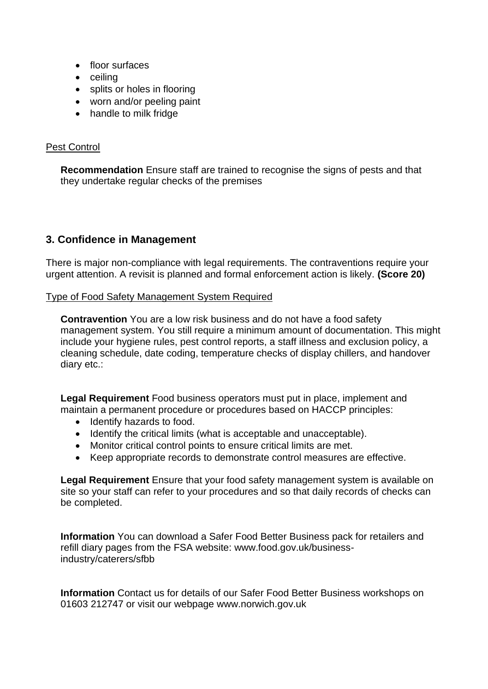- floor surfaces
- ceiling
- splits or holes in flooring
- worn and/or peeling paint
- handle to milk fridge

#### Pest Control

**Recommendation** Ensure staff are trained to recognise the signs of pests and that they undertake regular checks of the premises

## **3. Confidence in Management**

There is major non-compliance with legal requirements. The contraventions require your urgent attention. A revisit is planned and formal enforcement action is likely. **(Score 20)**

Type of Food Safety Management System Required

**Contravention** You are a low risk business and do not have a food safety management system. You still require a minimum amount of documentation. This might include your hygiene rules, pest control reports, a staff illness and exclusion policy, a cleaning schedule, date coding, temperature checks of display chillers, and handover diary etc.:

**Legal Requirement** Food business operators must put in place, implement and maintain a permanent procedure or procedures based on HACCP principles:

- Identify hazards to food.
- Identify the critical limits (what is acceptable and unacceptable).
- Monitor critical control points to ensure critical limits are met.
- Keep appropriate records to demonstrate control measures are effective.

**Legal Requirement** Ensure that your food safety management system is available on site so your staff can refer to your procedures and so that daily records of checks can be completed.

**Information** You can download a Safer Food Better Business pack for retailers and refill diary pages from the FSA website: www.food.gov.uk/businessindustry/caterers/sfbb

**Information** Contact us for details of our Safer Food Better Business workshops on 01603 212747 or visit our webpage www.norwich.gov.uk